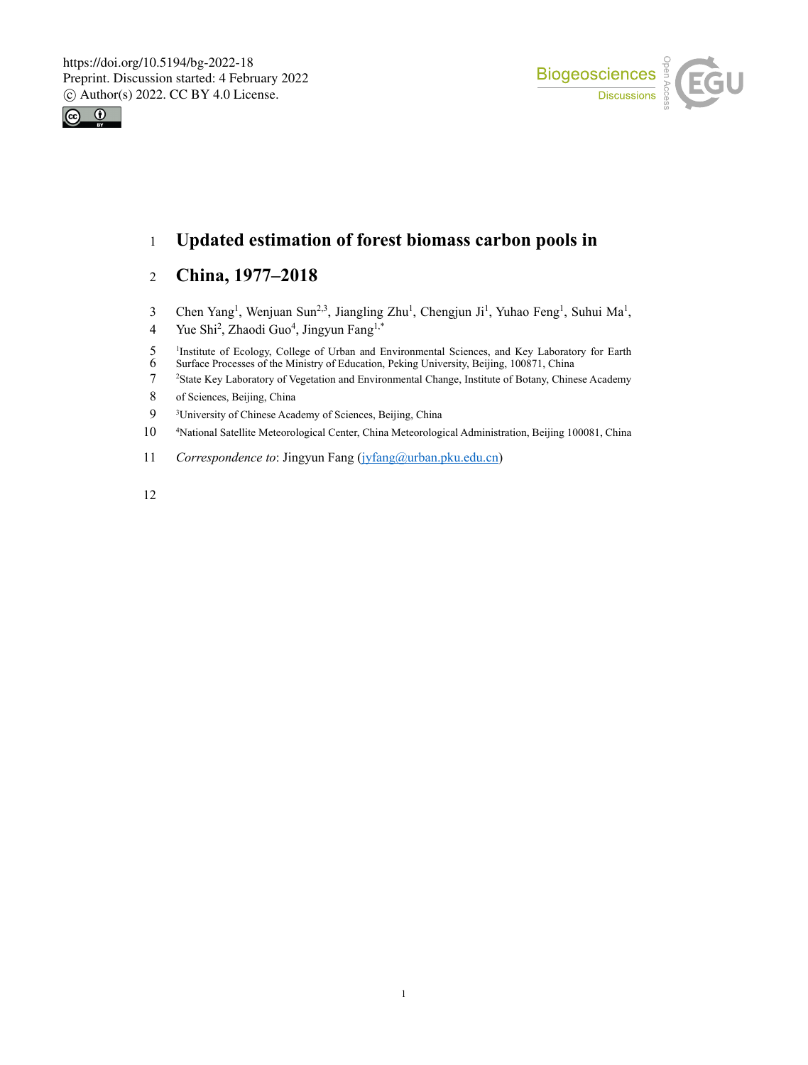



# 1 **Updated estimation of forest biomass carbon pools in**

# 2 **China, 1977–2018**

- 3 Chen Yang<sup>1</sup>, Wenjuan Sun<sup>2,3</sup>, Jiangling Zhu<sup>1</sup>, Chengjun Ji<sup>1</sup>, Yuhao Feng<sup>1</sup>, Suhui Ma<sup>1</sup>,
- 4 Yue Shi<sup>2</sup>, Zhaodi Guo<sup>4</sup>, Jingyun Fang<sup>1,\*</sup>
- <sup>1</sup> Institute of Ecology, College of Urban and Environmental Sciences, and Key Laboratory for Earth Surface Processes of the Ministry of Education, Peking University, Beijing, 100871, China
- 6 Surface Processes of the Ministry of Education, Peking University, Beijing, 100871, China <sup>2</sup> State Key Laboratory of Vegetation and Environmental Change, Institute of Botany, Chinese Academy
- 8 of Sciences, Beijing, China
- 9 <sup>3</sup> <sup>3</sup>University of Chinese Academy of Sciences, Beijing, China
- $10<sup>1</sup>$ National Satellite Meteorological Center, China Meteorological Administration, Beijing 100081, China
- 11 *Correspondence to*: Jingyun Fang (jyfang@urban.pku.edu.cn)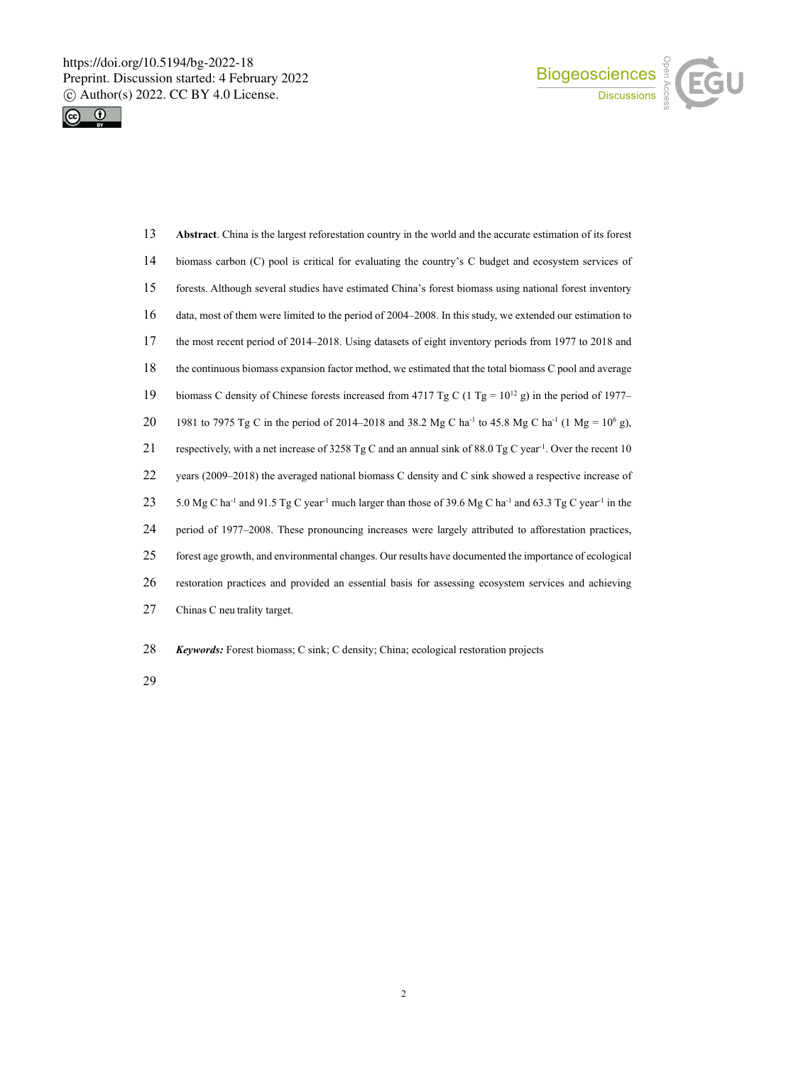



| 13 | Abstract. China is the largest reforestation country in the world and the accurate estimation of its forest                                             |
|----|---------------------------------------------------------------------------------------------------------------------------------------------------------|
| 14 | biomass carbon (C) pool is critical for evaluating the country's C budget and ecosystem services of                                                     |
| 15 | forests. Although several studies have estimated China's forest biomass using national forest inventory                                                 |
| 16 | data, most of them were limited to the period of 2004-2008. In this study, we extended our estimation to                                                |
| 17 | the most recent period of 2014–2018. Using datasets of eight inventory periods from 1977 to 2018 and                                                    |
| 18 | the continuous biomass expansion factor method, we estimated that the total biomass C pool and average                                                  |
| 19 | biomass C density of Chinese forests increased from 4717 Tg C (1 Tg = $10^{12}$ g) in the period of 1977–                                               |
| 20 | 1981 to 7975 Tg C in the period of 2014–2018 and 38.2 Mg C ha <sup>-1</sup> to 45.8 Mg C ha <sup>-1</sup> (1 Mg = $10^6$ g),                            |
| 21 | respectively, with a net increase of 3258 Tg C and an annual sink of 88.0 Tg C year <sup>-1</sup> . Over the recent 10                                  |
| 22 | years (2009–2018) the averaged national biomass C density and C sink showed a respective increase of                                                    |
| 23 | 5.0 Mg C ha <sup>-1</sup> and 91.5 Tg C year <sup>-1</sup> much larger than those of 39.6 Mg C ha <sup>-1</sup> and 63.3 Tg C year <sup>-1</sup> in the |
| 24 | period of 1977–2008. These pronouncing increases were largely attributed to afforestation practices,                                                    |
| 25 | forest age growth, and environmental changes. Our results have documented the importance of ecological                                                  |
| 26 | restoration practices and provided an essential basis for assessing ecosystem services and achieving                                                    |
| 27 | Chinas C neu trality target.                                                                                                                            |
|    |                                                                                                                                                         |

*Keywords:* Forest biomass; C sink; C density; China; ecological restoration projects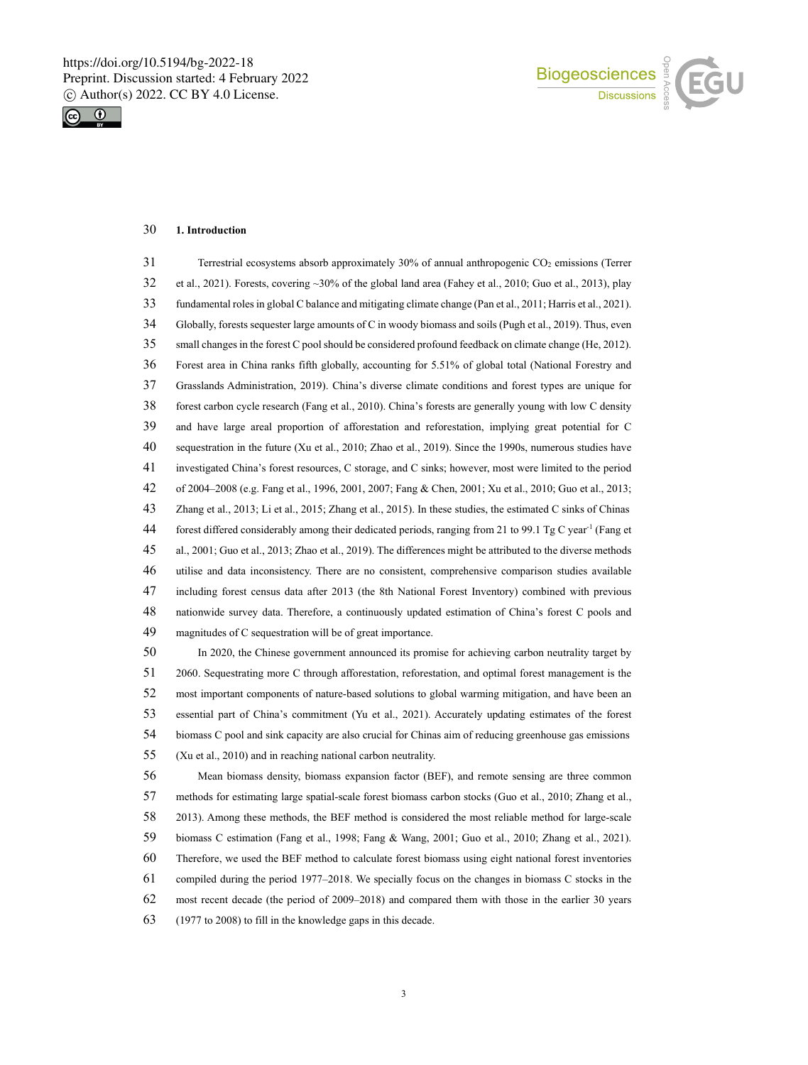



## **1. Introduction**

| 31 | Terrestrial ecosystems absorb approximately 30% of annual anthropogenic CO <sub>2</sub> emissions (Terrer            |
|----|----------------------------------------------------------------------------------------------------------------------|
| 32 | et al., 2021). Forests, covering $\sim$ 30% of the global land area (Fahey et al., 2010; Guo et al., 2013), play     |
| 33 | fundamental roles in global C balance and mitigating climate change (Pan et al., 2011; Harris et al., 2021).         |
| 34 | Globally, forests sequester large amounts of C in woody biomass and soils (Pugh et al., 2019). Thus, even            |
| 35 | small changes in the forest C pool should be considered profound feedback on climate change (He, 2012).              |
| 36 | Forest area in China ranks fifth globally, accounting for 5.51% of global total (National Forestry and               |
| 37 | Grasslands Administration, 2019). China's diverse climate conditions and forest types are unique for                 |
| 38 | forest carbon cycle research (Fang et al., 2010). China's forests are generally young with low C density             |
| 39 | and have large areal proportion of afforestation and reforestation, implying great potential for C                   |
| 40 | sequestration in the future (Xu et al., 2010; Zhao et al., 2019). Since the 1990s, numerous studies have             |
| 41 | investigated China's forest resources, C storage, and C sinks; however, most were limited to the period              |
| 42 | of 2004–2008 (e.g. Fang et al., 1996, 2001, 2007; Fang & Chen, 2001; Xu et al., 2010; Guo et al., 2013;              |
| 43 | Zhang et al., 2013; Li et al., 2015; Zhang et al., 2015). In these studies, the estimated C sinks of Chinas          |
| 44 | forest differed considerably among their dedicated periods, ranging from 21 to 99.1 Tg C year <sup>-1</sup> (Fang et |
| 45 | al., 2001; Guo et al., 2013; Zhao et al., 2019). The differences might be attributed to the diverse methods          |
| 46 | utilise and data inconsistency. There are no consistent, comprehensive comparison studies available                  |
| 47 | including forest census data after 2013 (the 8th National Forest Inventory) combined with previous                   |
| 48 | nationwide survey data. Therefore, a continuously updated estimation of China's forest C pools and                   |
| 49 | magnitudes of C sequestration will be of great importance.                                                           |
| 50 | In 2020, the Chinese government announced its promise for achieving carbon neutrality target by                      |
| 51 | 2060. Sequestrating more C through afforestation, reforestation, and optimal forest management is the                |
| 52 | most important components of nature-based solutions to global warming mitigation, and have been an                   |
| 53 | essential part of China's commitment (Yu et al., 2021). Accurately updating estimates of the forest                  |
| 54 | biomass C pool and sink capacity are also crucial for Chinas aim of reducing greenhouse gas emissions                |
| 55 | (Xu et al., 2010) and in reaching national carbon neutrality.                                                        |
| 56 | Mean biomass density, biomass expansion factor (BEF), and remote sensing are three common                            |
| 57 | methods for estimating large spatial-scale forest biomass carbon stocks (Guo et al., 2010; Zhang et al.,             |
| 58 | 2013). Among these methods, the BEF method is considered the most reliable method for large-scale                    |
| 59 | biomass C estimation (Fang et al., 1998; Fang & Wang, 2001; Guo et al., 2010; Zhang et al., 2021).                   |
| 60 | Therefore, we used the BEF method to calculate forest biomass using eight national forest inventories                |
| 61 | compiled during the period 1977–2018. We specially focus on the changes in biomass C stocks in the                   |
| 62 | most recent decade (the period of 2009–2018) and compared them with those in the earlier 30 years                    |

(1977 to 2008) to fill in the knowledge gaps in this decade.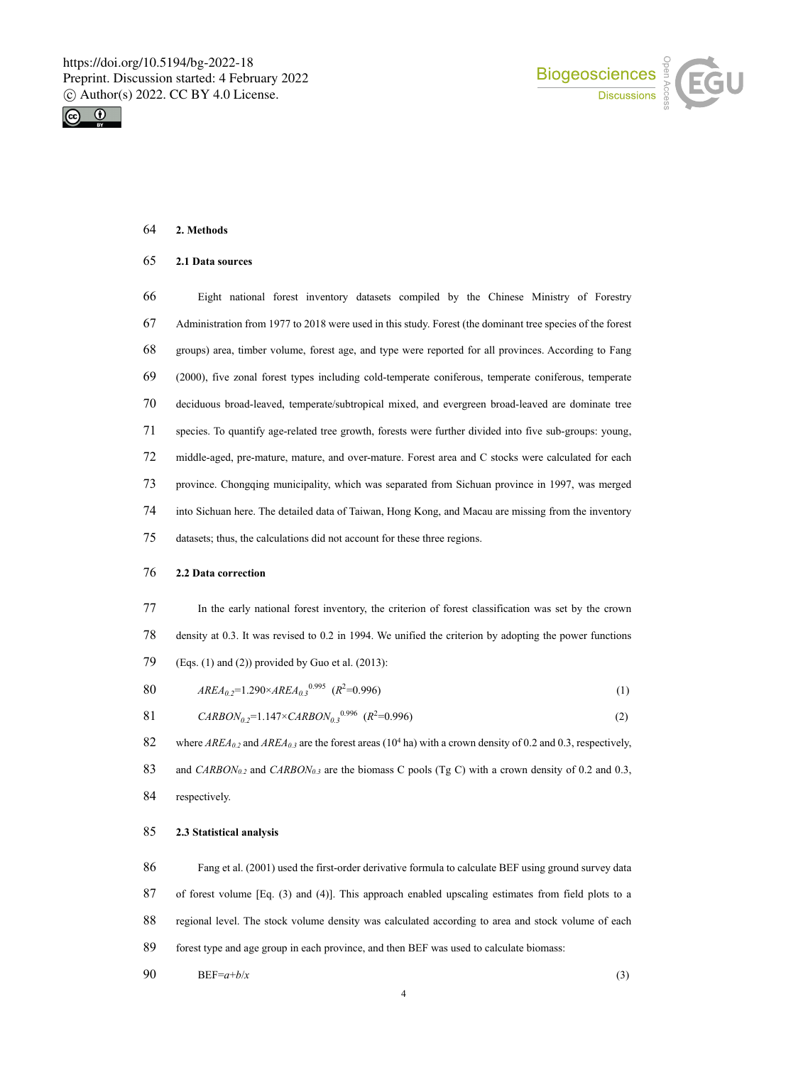



**2. Methods**

#### **2.1 Data sources**

 Eight national forest inventory datasets compiled by the Chinese Ministry of Forestry Administration from 1977 to 2018 were used in this study. Forest (the dominant tree species of the forest groups) area, timber volume, forest age, and type were reported for all provinces. According to Fang (2000), five zonal forest types including cold-temperate coniferous, temperate coniferous, temperate deciduous broad-leaved, temperate/subtropical mixed, and evergreen broad-leaved are dominate tree species. To quantify age-related tree growth, forests were further divided into five sub-groups: young, middle-aged, pre-mature, mature, and over-mature. Forest area and C stocks were calculated for each province. Chongqing municipality, which was separated from Sichuan province in 1997, was merged into Sichuan here. The detailed data of Taiwan, Hong Kong, and Macau are missing from the inventory datasets; thus, the calculations did not account for these three regions. **2.2 Data correction**

 In the early national forest inventory, the criterion of forest classification was set by the crown density at 0.3. It was revised to 0.2 in 1994. We unified the criterion by adopting the power functions (Eqs. (1) and (2)) provided by Guo et al. (2013):

$$
RBA_{0.2} = 1.290 \times AREA_{0.3}^{0.995} \ (R^2 = 0.996) \tag{1}
$$

$$
81 \t\t CARBON_{0.2}=1.147\times CARBON_{0.3}^{0.996} (R^2=0.996)
$$
\t(2)

82 where  $AREA_{0.2}$  and  $AREA_{0.3}$  are the forest areas (10<sup>4</sup> ha) with a crown density of 0.2 and 0.3, respectively, 83 and  $CARBON_{0.2}$  and  $CARBON_{0.3}$  are the biomass C pools (Tg C) with a crown density of 0.2 and 0.3, respectively.

#### **2.3 Statistical analysis**

 Fang et al. (2001) used the first-order derivative formula to calculate BEF using ground survey data of forest volume [Eq. (3) and (4)]. This approach enabled upscaling estimates from field plots to a regional level. The stock volume density was calculated according to area and stock volume of each forest type and age group in each province, and then BEF was used to calculate biomass:

90 BEF= $a+b/x$  (3)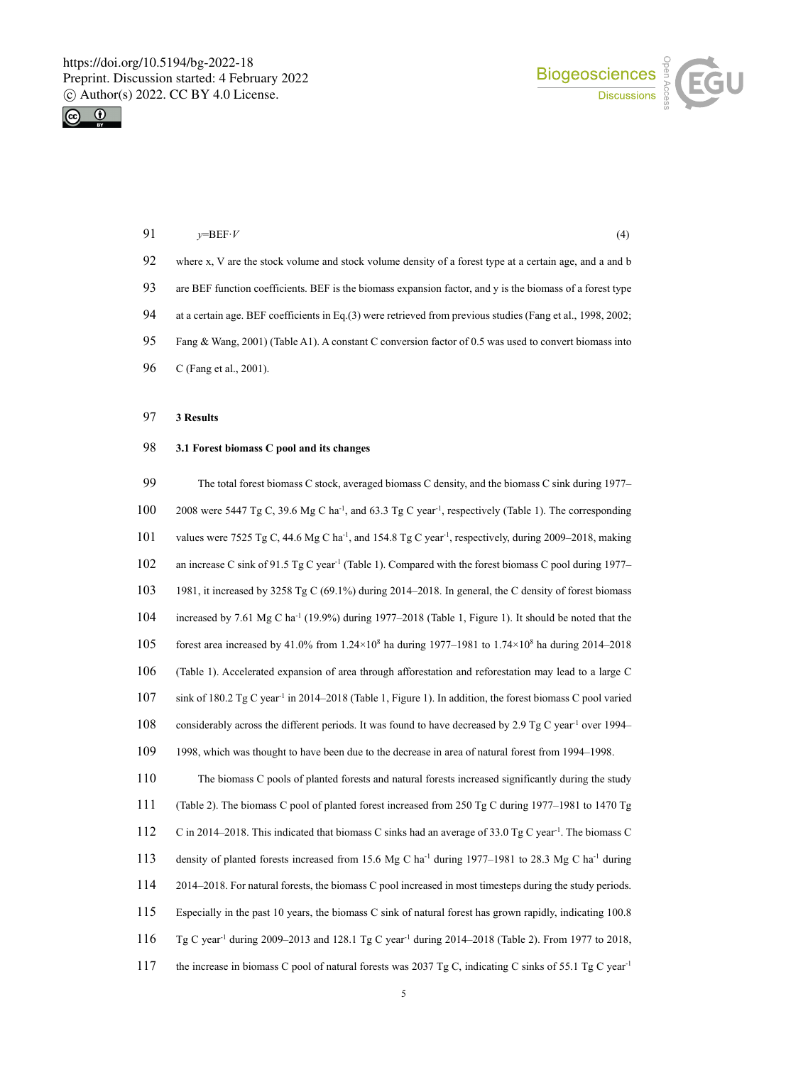



| 91 | $v = BEF \cdot V$                                                                                            |
|----|--------------------------------------------------------------------------------------------------------------|
| 92 | where x, V are the stock volume and stock volume density of a forest type at a certain age, and a and b      |
| 93 | are BEF function coefficients. BEF is the biomass expansion factor, and y is the biomass of a forest type    |
| 94 | at a certain age. BEF coefficients in Eq. (3) were retrieved from previous studies (Fang et al., 1998, 2002; |
| 95 | Fang & Wang, 2001) (Table A1). A constant C conversion factor of 0.5 was used to convert biomass into        |
| 96 | C (Fang et al., 2001).                                                                                       |

#### 97 **3 Results**

#### 98 **3.1 Forest biomass C pool and its changes**

99 The total forest biomass C stock, averaged biomass C density, and the biomass C sink during 1977– 100 2008 were 5447 Tg C, 39.6 Mg C ha<sup>-1</sup>, and 63.3 Tg C year<sup>-1</sup>, respectively (Table 1). The corresponding 101 values were 7525 Tg C, 44.6 Mg C ha<sup>-1</sup>, and 154.8 Tg C year<sup>-1</sup>, respectively, during 2009–2018, making 102 an increase C sink of 91.5 Tg C year<sup>-1</sup> (Table 1). Compared with the forest biomass C pool during 1977– 103 1981, it increased by 3258 Tg C (69.1%) during 2014–2018. In general, the C density of forest biomass 104 increased by 7.61 Mg C ha<sup>-1</sup> (19.9%) during 1977–2018 (Table 1, Figure 1). It should be noted that the 105 forest area increased by 41.0% from  $1.24 \times 10^8$  ha during 1977–1981 to  $1.74 \times 10^8$  ha during 2014–2018 106 (Table 1). Accelerated expansion of area through afforestation and reforestation may lead to a large C 107 sink of 180.2 Tg C year<sup>-1</sup> in 2014–2018 (Table 1, Figure 1). In addition, the forest biomass C pool varied 108 considerably across the different periods. It was found to have decreased by 2.9 Tg C year<sup>-1</sup> over 1994– 109 1998, which was thought to have been due to the decrease in area of natural forest from 1994–1998. 110 The biomass C pools of planted forests and natural forests increased significantly during the study 111 (Table 2). The biomass C pool of planted forest increased from 250 Tg C during 1977–1981 to 1470 Tg 112 C in 2014–2018. This indicated that biomass C sinks had an average of 33.0 Tg C year<sup>-1</sup>. The biomass C 113 density of planted forests increased from 15.6 Mg C ha<sup>-1</sup> during 1977–1981 to 28.3 Mg C ha<sup>-1</sup> during 114 2014–2018. For natural forests, the biomass C pool increased in most timesteps during the study periods. 115 Especially in the past 10 years, the biomass C sink of natural forest has grown rapidly, indicating 100.8 Tg C year-1 during 2009–2013 and 128.1 Tg C year-1 116 during 2014–2018 (Table 2). From 1977 to 2018, 117 the increase in biomass C pool of natural forests was 2037 Tg C, indicating C sinks of 55.1 Tg C year<sup>-1</sup>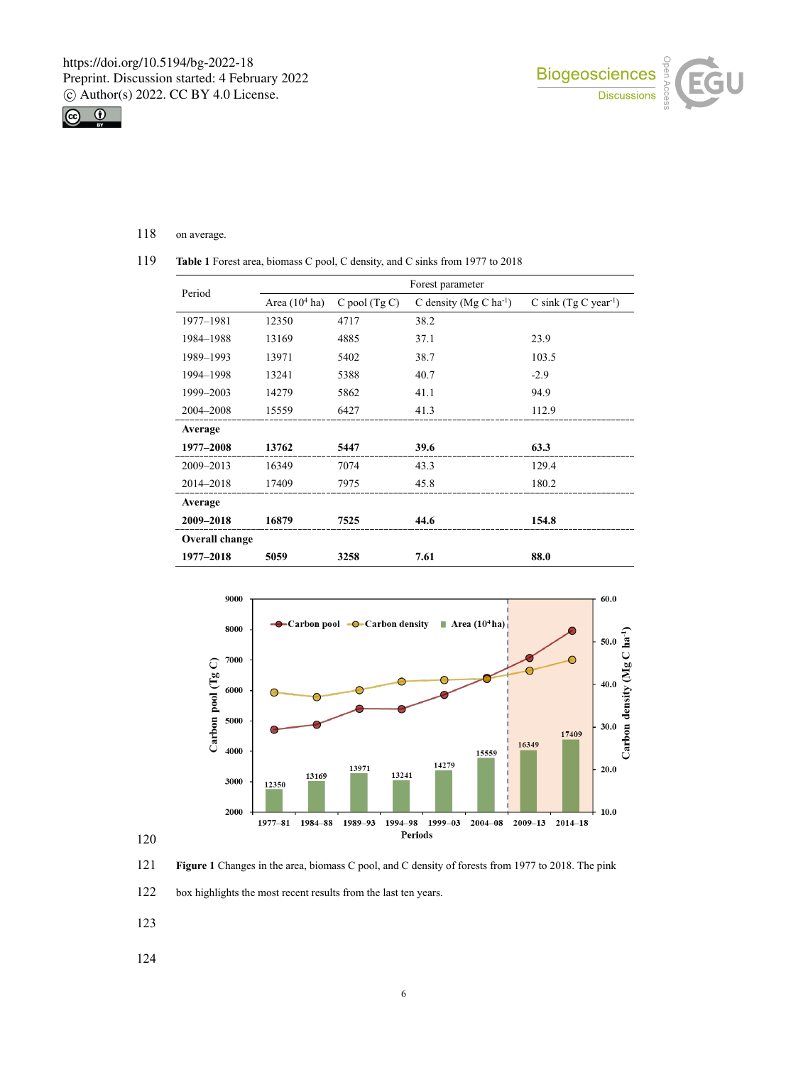



| 118 | on average. |  |
|-----|-------------|--|
|-----|-------------|--|

|  |  | 119 Table 1 Forest area, biomass C pool, C density, and C sinks from 1977 to 2018 |  |  |  |  |  |  |  |
|--|--|-----------------------------------------------------------------------------------|--|--|--|--|--|--|--|
|--|--|-----------------------------------------------------------------------------------|--|--|--|--|--|--|--|

| Period         | Forest parameter                      |      |                                       |                        |  |  |
|----------------|---------------------------------------|------|---------------------------------------|------------------------|--|--|
|                | Area $(10^4$ ha)<br>$C$ pool $(Tg C)$ |      | C density ( $Mg C$ ha <sup>-1</sup> ) | C sink $(Tg C year-1)$ |  |  |
| 1977-1981      | 12350                                 | 4717 | 38.2                                  |                        |  |  |
| 1984-1988      | 13169                                 | 4885 | 37.1                                  | 23.9                   |  |  |
| 1989-1993      | 13971                                 | 5402 | 38.7                                  | 103.5                  |  |  |
| 1994-1998      | 13241                                 | 5388 | 40.7                                  | $-2.9$                 |  |  |
| 1999-2003      | 14279                                 | 5862 | 41.1                                  | 94.9                   |  |  |
| 2004-2008      | 15559                                 | 6427 | 41.3                                  | 112.9                  |  |  |
| Average        |                                       |      |                                       |                        |  |  |
| 1977-2008      | 13762                                 | 5447 | 39.6                                  | 63.3                   |  |  |
| 2009-2013      | 16349                                 | 7074 | 43.3                                  | 129.4                  |  |  |
| 2014-2018      | 17409                                 | 7975 | 45.8                                  | 180.2                  |  |  |
| Average        |                                       |      |                                       |                        |  |  |
| 2009-2018      | 16879                                 | 7525 | 44.6                                  | 154.8                  |  |  |
| Overall change |                                       |      |                                       |                        |  |  |
| 1977–2018      | 5059                                  | 3258 | 7.61                                  | 88.0                   |  |  |



120

121 **Figure 1** Changes in the area, biomass C pool, and C density of forests from 1977 to 2018. The pink

122 box highlights the most recent results from the last ten years.

123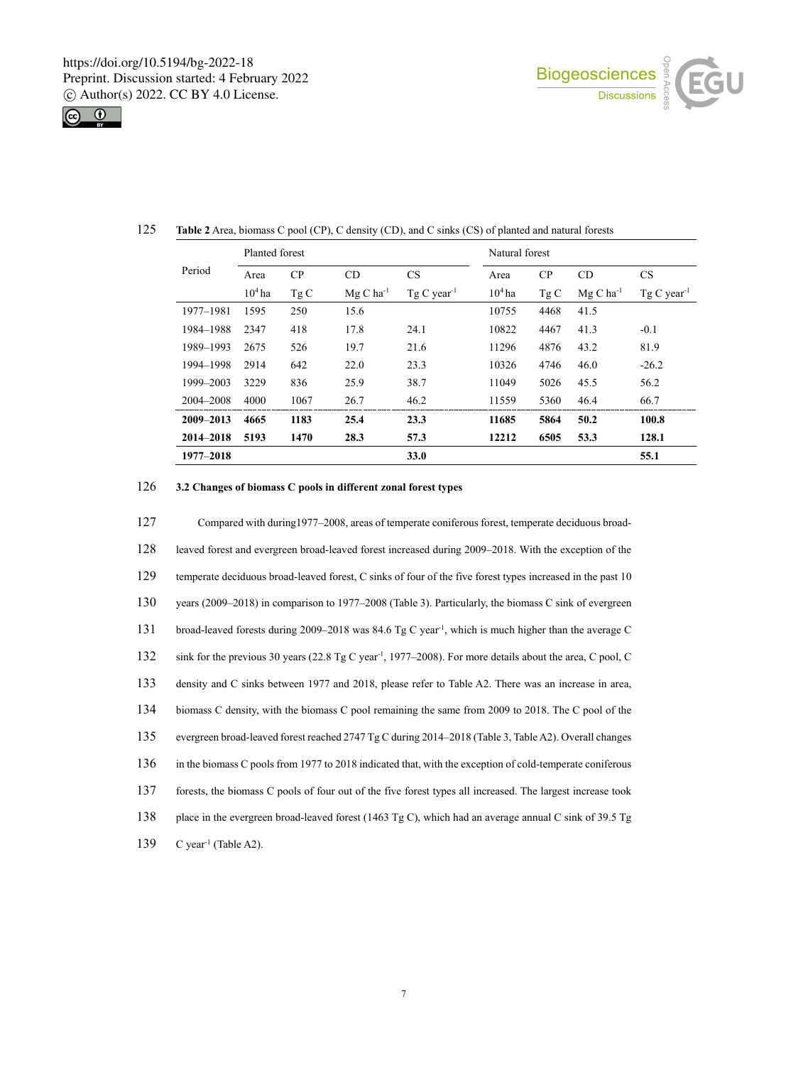



|           | Planted forest |      |                |                          | Natural forest |      |          |                           |
|-----------|----------------|------|----------------|--------------------------|----------------|------|----------|---------------------------|
| Period    | Area           | CP   | CD             | CS                       | Area           | CP   | CD       | CS                        |
|           | $104$ ha       | TgC  | $Mg C ha^{-1}$ | $Tg C year$ <sup>1</sup> | $104$ ha       | TgC  | $Mg C-1$ | $Tg C year$ <sup>-1</sup> |
| 1977-1981 | 1595           | 250  | 15.6           |                          | 10755          | 4468 | 41.5     |                           |
| 1984-1988 | 2347           | 418  | 17.8           | 24.1                     | 10822          | 4467 | 41.3     | $-0.1$                    |
| 1989-1993 | 2675           | 526  | 19.7           | 21.6                     | 11296          | 4876 | 43.2     | 81.9                      |
| 1994-1998 | 2914           | 642  | 22.0           | 23.3                     | 10326          | 4746 | 46.0     | $-26.2$                   |
| 1999-2003 | 3229           | 836  | 25.9           | 38.7                     | 11049          | 5026 | 45.5     | 56.2                      |
| 2004-2008 | 4000           | 1067 | 26.7           | 46.2                     | 11559          | 5360 | 46.4     | 66.7                      |
| 2009-2013 | 4665           | 1183 | 25.4           | 23.3                     | 11685          | 5864 | 50.2     | 100.8                     |
| 2014-2018 | 5193           | 1470 | 28.3           | 57.3                     | 12212          | 6505 | 53.3     | 128.1                     |
| 1977-2018 |                |      |                | 33.0                     |                |      |          | 55.1                      |

#### 125 **Table 2** Area, biomass C pool (CP), C density (CD), and C sinks (CS) of planted and natural forests

#### 126 **3.2 Changes of biomass C pools in different zonal forest types**

127 Compared with during1977–2008, areas of temperate coniferous forest, temperate deciduous broad-

 leaved forest and evergreen broad-leaved forest increased during 2009–2018. With the exception of the temperate deciduous broad-leaved forest, C sinks of four of the five forest types increased in the past 10 years (2009–2018) in comparison to 1977–2008 (Table 3). Particularly, the biomass C sink of evergreen 131 broad-leaved forests during 2009–2018 was 84.6 Tg C year<sup>-1</sup>, which is much higher than the average C 132 sink for the previous 30 years (22.8 Tg C year<sup>-1</sup>, 1977–2008). For more details about the area, C pool, C density and C sinks between 1977 and 2018, please refer to Table A2. There was an increase in area, biomass C density, with the biomass C pool remaining the same from 2009 to 2018. The C pool of the evergreen broad-leaved forest reached 2747 Tg C during 2014–2018 (Table 3, Table A2). Overall changes in the biomass C pools from 1977 to 2018 indicated that, with the exception of cold-temperate coniferous forests, the biomass C pools of four out of the five forest types all increased. The largest increase took place in the evergreen broad-leaved forest (1463 Tg C), which had an average annual C sink of 39.5 Tg  $C$  year<sup>-1</sup> (Table A2).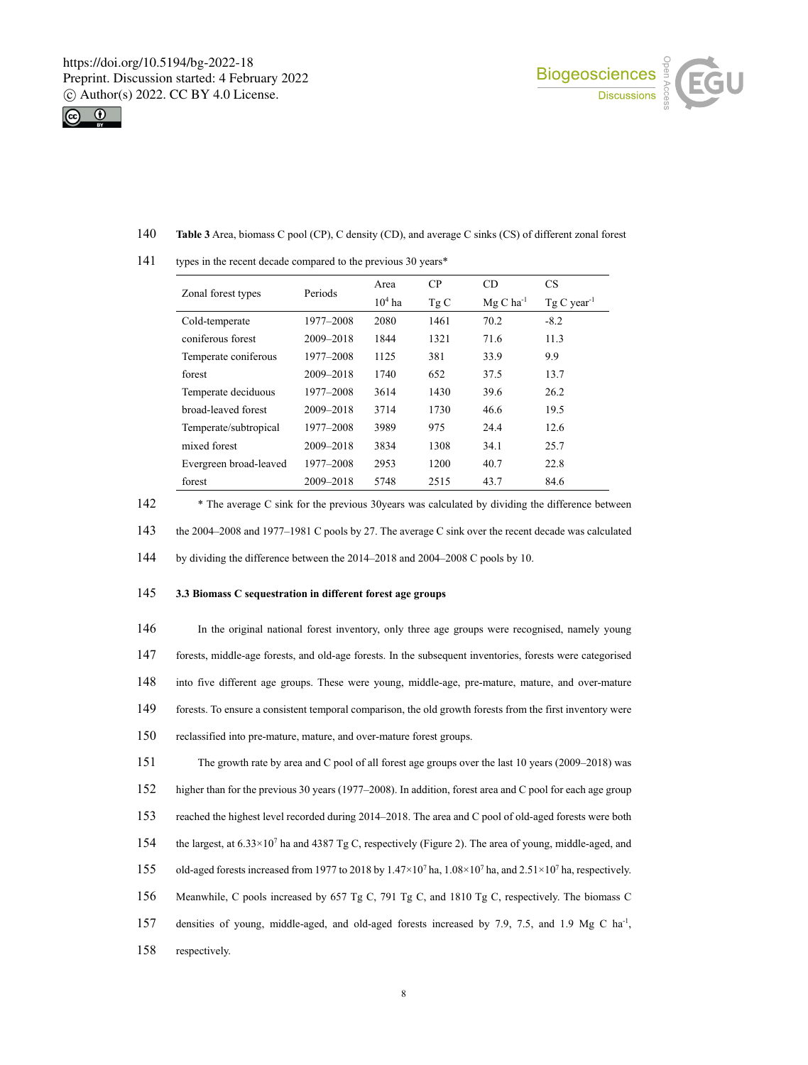



140 **Table 3** Area, biomass C pool (CP), C density (CD), and average C sinks (CS) of different zonal forest

|                        | Periods   | Area     | CP   | CD                      | <b>CS</b>                 |
|------------------------|-----------|----------|------|-------------------------|---------------------------|
| Zonal forest types     |           | $104$ ha | TgC  | $Mg Ch$ a <sup>-1</sup> | $Tg C year$ <sup>-1</sup> |
| Cold-temperate         | 1977-2008 | 2080     | 1461 | 70.2                    | $-8.2$                    |
| coniferous forest      | 2009-2018 | 1844     | 1321 | 71.6                    | 11.3                      |
| Temperate coniferous   | 1977-2008 | 1125     | 381  | 33.9                    | 9.9                       |
| forest                 | 2009-2018 | 1740     | 652  | 37.5                    | 13.7                      |
| Temperate deciduous    | 1977-2008 | 3614     | 1430 | 39.6                    | 26.2                      |
| broad-leaved forest    | 2009-2018 | 3714     | 1730 | 46.6                    | 19.5                      |
| Temperate/subtropical  | 1977-2008 | 3989     | 975  | 24.4                    | 12.6                      |
| mixed forest           | 2009-2018 | 3834     | 1308 | 34.1                    | 25.7                      |
| Evergreen broad-leaved | 1977-2008 | 2953     | 1200 | 40.7                    | 22.8                      |
| forest                 | 2009-2018 | 5748     | 2515 | 43.7                    | 84.6                      |

141 types in the recent decade compared to the previous 30 years\*

142 \* The average C sink for the previous 30years was calculated by dividing the difference between

143 the 2004–2008 and 1977–1981 C pools by 27. The average C sink over the recent decade was calculated

144 by dividing the difference between the 2014–2018 and 2004–2008 C pools by 10.

#### 145 **3.3 Biomass C sequestration in different forest age groups**

 In the original national forest inventory, only three age groups were recognised, namely young forests, middle-age forests, and old-age forests. In the subsequent inventories, forests were categorised into five different age groups. These were young, middle-age, pre-mature, mature, and over-mature forests. To ensure a consistent temporal comparison, the old growth forests from the first inventory were reclassified into pre-mature, mature, and over-mature forest groups. The growth rate by area and C pool of all forest age groups over the last 10 years (2009–2018) was higher than for the previous 30 years (1977–2008). In addition, forest area and C pool for each age group reached the highest level recorded during 2014–2018. The area and C pool of old-aged forests were both 154 the largest, at  $6.33 \times 10^7$  ha and 4387 Tg C, respectively (Figure 2). The area of young, middle-aged, and 155 old-aged forests increased from 1977 to 2018 by  $1.47\times10^{7}$  ha,  $1.08\times10^{7}$  ha, and  $2.51\times10^{7}$  ha, respectively. Meanwhile, C pools increased by 657 Tg C, 791 Tg C, and 1810 Tg C, respectively. The biomass C 157 densities of young, middle-aged, and old-aged forests increased by 7.9, 7.5, and 1.9 Mg C ha<sup>-1</sup>, respectively.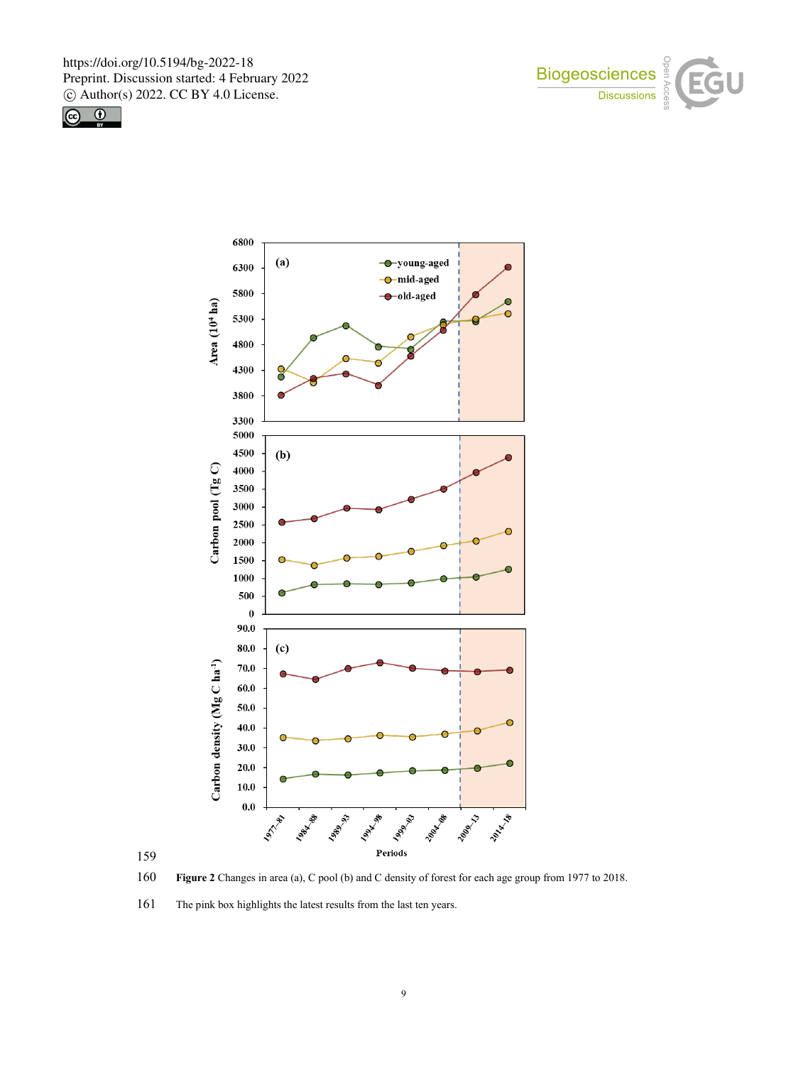







161 The pink box highlights the latest results from the last ten years.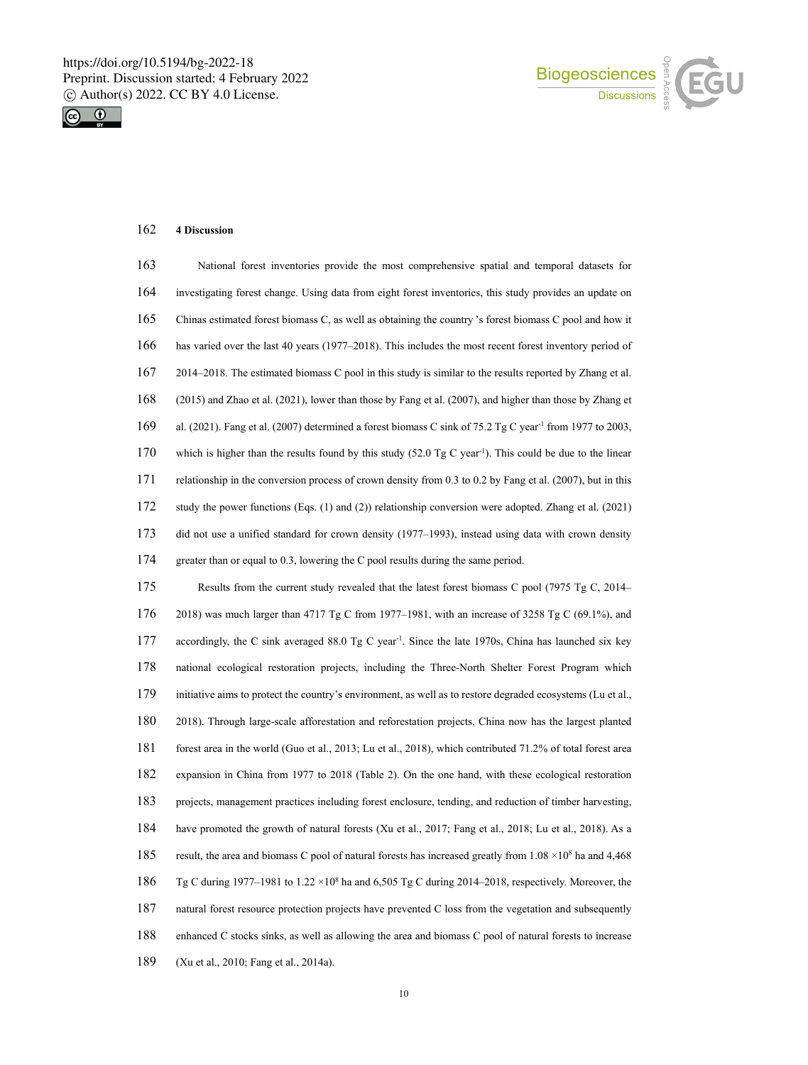



## **4 Discussion**

| 163 | National forest inventories provide the most comprehensive spatial and temporal datasets for                           |
|-----|------------------------------------------------------------------------------------------------------------------------|
| 164 | investigating forest change. Using data from eight forest inventories, this study provides an update on                |
| 165 | Chinas estimated forest biomass C, as well as obtaining the country's forest biomass C pool and how it                 |
| 166 | has varied over the last 40 years (1977–2018). This includes the most recent forest inventory period of                |
| 167 | 2014–2018. The estimated biomass C pool in this study is similar to the results reported by Zhang et al.               |
| 168 | (2015) and Zhao et al. (2021), lower than those by Fang et al. (2007), and higher than those by Zhang et               |
| 169 | al. (2021). Fang et al. (2007) determined a forest biomass C sink of 75.2 Tg C year <sup>-1</sup> from 1977 to 2003,   |
| 170 | which is higher than the results found by this study $(52.0 \text{ Tg C year}^{-1})$ . This could be due to the linear |
| 171 | relationship in the conversion process of crown density from 0.3 to 0.2 by Fang et al. (2007), but in this             |
| 172 | study the power functions (Eqs. (1) and (2)) relationship conversion were adopted. Zhang et al. (2021)                 |
| 173 | did not use a unified standard for crown density (1977–1993), instead using data with crown density                    |
| 174 | greater than or equal to 0.3, lowering the C pool results during the same period.                                      |
| 175 | Results from the current study revealed that the latest forest biomass C pool (7975 Tg C, 2014-                        |
| 176 | 2018) was much larger than 4717 Tg C from 1977–1981, with an increase of 3258 Tg C (69.1%), and                        |
| 177 | accordingly, the C sink averaged 88.0 Tg C year <sup>-1</sup> . Since the late 1970s, China has launched six key       |
| 178 | national ecological restoration projects, including the Three-North Shelter Forest Program which                       |
| 179 | initiative aims to protect the country's environment, as well as to restore degraded ecosystems (Lu et al.,            |
| 180 | 2018). Through large-scale afforestation and reforestation projects, China now has the largest planted                 |
| 181 | forest area in the world (Guo et al., 2013; Lu et al., 2018), which contributed 71.2% of total forest area             |
| 182 | expansion in China from 1977 to 2018 (Table 2). On the one hand, with these ecological restoration                     |
| 183 | projects, management practices including forest enclosure, tending, and reduction of timber harvesting,                |
| 184 | have promoted the growth of natural forests (Xu et al., 2017; Fang et al., 2018; Lu et al., 2018). As a                |
| 185 | result, the area and biomass C pool of natural forests has increased greatly from $1.08 \times 10^8$ ha and 4,468      |
| 186 | Tg C during 1977–1981 to 1.22 ×10 <sup>8</sup> ha and 6,505 Tg C during 2014–2018, respectively. Moreover, the         |
| 187 | natural forest resource protection projects have prevented C loss from the vegetation and subsequently                 |
| 188 | enhanced C stocks sinks, as well as allowing the area and biomass C pool of natural forests to increase                |
| 189 | (Xu et al., 2010; Fang et al., 2014a).                                                                                 |
|     |                                                                                                                        |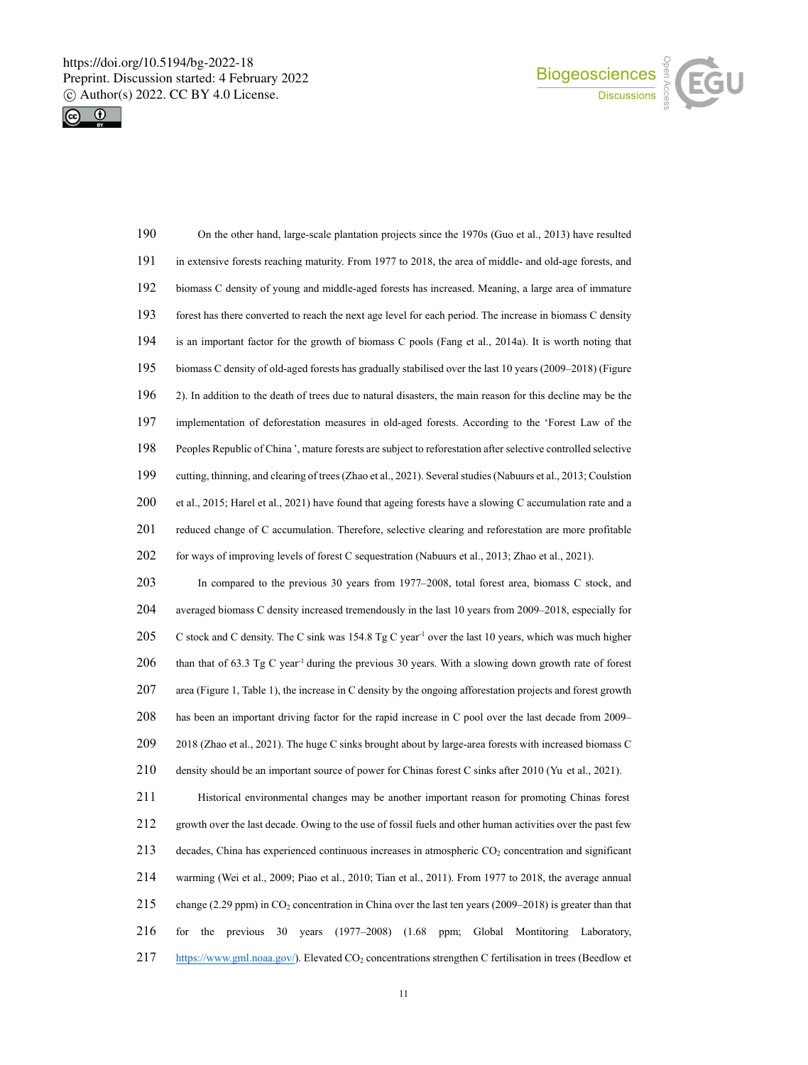



| 190 | On the other hand, large-scale plantation projects since the 1970s (Guo et al., 2013) have resulted               |
|-----|-------------------------------------------------------------------------------------------------------------------|
| 191 | in extensive forests reaching maturity. From 1977 to 2018, the area of middle- and old-age forests, and           |
| 192 | biomass C density of young and middle-aged forests has increased. Meaning, a large area of immature               |
| 193 | forest has there converted to reach the next age level for each period. The increase in biomass C density         |
| 194 | is an important factor for the growth of biomass C pools (Fang et al., 2014a). It is worth noting that            |
| 195 | biomass C density of old-aged forests has gradually stabilised over the last 10 years (2009–2018) (Figure         |
| 196 | 2). In addition to the death of trees due to natural disasters, the main reason for this decline may be the       |
| 197 | implementation of deforestation measures in old-aged forests. According to the 'Forest Law of the                 |
| 198 | Peoples Republic of China', mature forests are subject to reforestation after selective controlled selective      |
| 199 | cutting, thinning, and clearing of trees (Zhao et al., 2021). Several studies (Nabuurs et al., 2013; Coulstion    |
| 200 | et al., 2015; Harel et al., 2021) have found that ageing forests have a slowing C accumulation rate and a         |
| 201 | reduced change of C accumulation. Therefore, selective clearing and reforestation are more profitable             |
| 202 | for ways of improving levels of forest C sequestration (Nabuurs et al., 2013; Zhao et al., 2021).                 |
| 203 | In compared to the previous 30 years from 1977–2008, total forest area, biomass C stock, and                      |
| 204 | averaged biomass C density increased tremendously in the last 10 years from 2009–2018, especially for             |
| 205 | C stock and C density. The C sink was 154.8 Tg C year <sup>-1</sup> over the last 10 years, which was much higher |
| 206 | than that of 63.3 Tg C year <sup>-1</sup> during the previous 30 years. With a slowing down growth rate of forest |
| 207 | area (Figure 1, Table 1), the increase in C density by the ongoing afforestation projects and forest growth       |
| 208 | has been an important driving factor for the rapid increase in C pool over the last decade from 2009–             |
| 209 | 2018 (Zhao et al., 2021). The huge C sinks brought about by large-area forests with increased biomass C           |
|     |                                                                                                                   |

density should be an important source of power for Chinas forest C sinks after 2010 (Yu et al., 2021).

 Historical environmental changes may be another important reason for promoting Chinas forest growth over the last decade. Owing to the use of fossil fuels and other human activities over the past few 213 decades, China has experienced continuous increases in atmospheric CO<sub>2</sub> concentration and significant warming (Wei et al., 2009; Piao et al., 2010; Tian et al., 2011). From 1977 to 2018, the average annual change (2.29 ppm) in CO2 concentration in China over the last ten years (2009–2018) is greater than that for the previous 30 years (1977–2008) (1.68 ppm; Global Montitoring Laboratory, 217 https://www.gml.noaa.gov/). Elevated CO<sub>2</sub> concentrations strengthen C fertilisation in trees (Beedlow et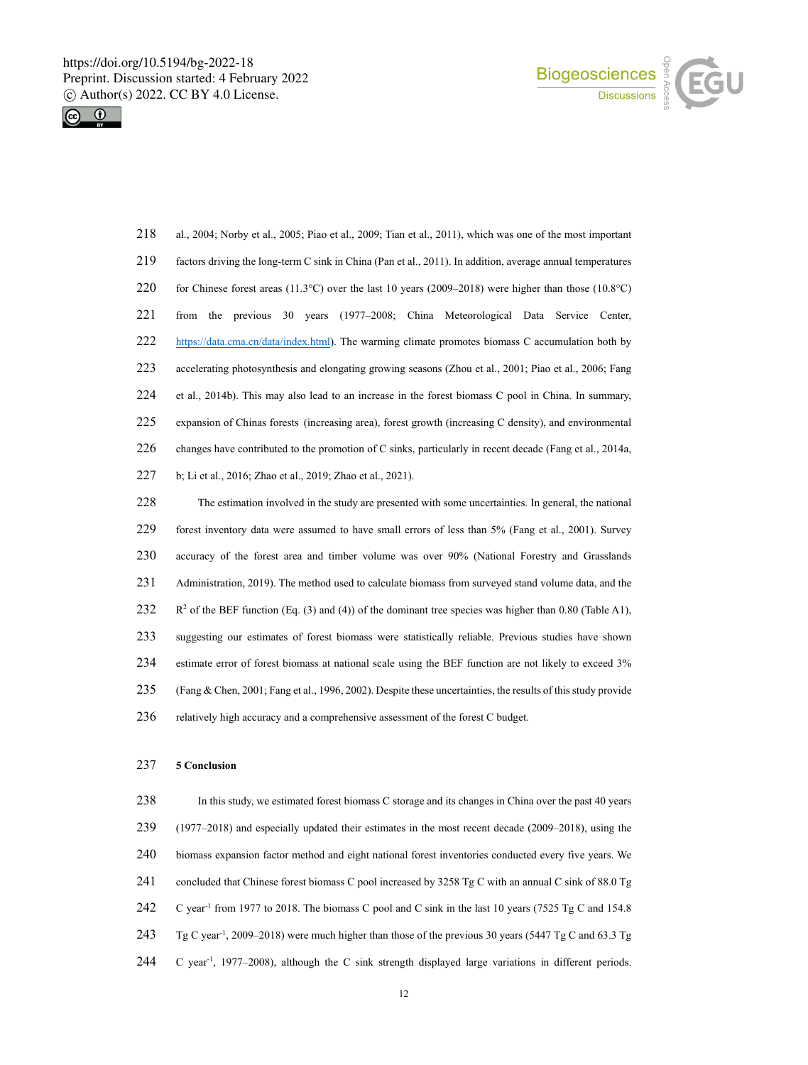



- al., 2004; Norby et al., 2005; Piao et al., 2009; Tian et al., 2011), which was one of the most important factors driving the long-term C sink in China (Pan et al., 2011). In addition, average annual temperatures for Chinese forest areas (11.3°C) over the last 10 years (2009–2018) were higher than those (10.8°C) from the previous 30 years (1977–2008; China Meteorological Data Service Center, 222 https://data.cma.cn/data/index.html). The warming climate promotes biomass C accumulation both by accelerating photosynthesis and elongating growing seasons (Zhou et al., 2001; Piao et al., 2006; Fang et al., 2014b). This may also lead to an increase in the forest biomass C pool in China. In summary, expansion of Chinas forests (increasing area), forest growth (increasing C density), and environmental changes have contributed to the promotion of C sinks, particularly in recent decade (Fang et al., 2014a, b; Li et al., 2016; Zhao et al., 2019; Zhao et al., 2021). The estimation involved in the study are presented with some uncertainties. In general, the national forest inventory data were assumed to have small errors of less than 5% (Fang et al., 2001). Survey
- accuracy of the forest area and timber volume was over 90% (National Forestry and Grasslands Administration, 2019). The method used to calculate biomass from surveyed stand volume data, and the 232  $R^2$  of the BEF function (Eq. (3) and (4)) of the dominant tree species was higher than 0.80 (Table A1), suggesting our estimates of forest biomass were statistically reliable. Previous studies have shown estimate error of forest biomass at national scale using the BEF function are not likely to exceed 3% (Fang & Chen, 2001; Fang et al., 1996, 2002). Despite these uncertainties, the results of this study provide relatively high accuracy and a comprehensive assessment of the forest C budget.

#### **5 Conclusion**

 In this study, we estimated forest biomass C storage and its changes in China over the past 40 years (1977–2018) and especially updated their estimates in the most recent decade (2009–2018), using the biomass expansion factor method and eight national forest inventories conducted every five years. We concluded that Chinese forest biomass C pool increased by 3258 Tg C with an annual C sink of 88.0 Tg 242 C year<sup>-1</sup> from 1977 to 2018. The biomass C pool and C sink in the last 10 years (7525 Tg C and 154.8) 243 Tg C year<sup>-1</sup>, 2009–2018) were much higher than those of the previous 30 years (5447 Tg C and 63.3 Tg 244 C year<sup>-1</sup>, 1977–2008), although the C sink strength displayed large variations in different periods.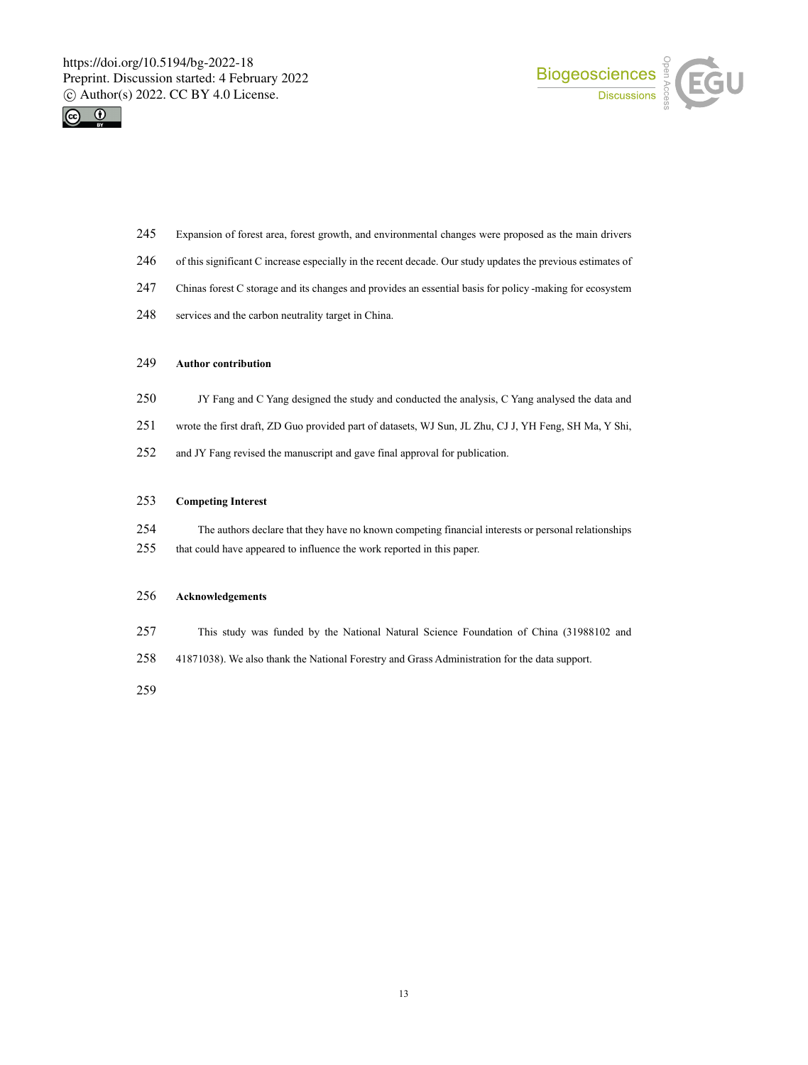



- Expansion of forest area, forest growth, and environmental changes were proposed as the main drivers
- of this significant C increase especially in the recent decade. Our study updates the previous estimates of
- Chinas forest C storage and its changes and provides an essential basis for policy -making for ecosystem
- services and the carbon neutrality target in China.

#### **Author contribution**

- JY Fang and C Yang designed the study and conducted the analysis, C Yang analysed the data and
- wrote the first draft, ZD Guo provided part of datasets, WJ Sun, JL Zhu, CJ J, YH Feng, SH Ma, Y Shi,
- and JY Fang revised the manuscript and gave final approval for publication.

### **Competing Interest**

 The authors declare that they have no known competing financial interests or personal relationships that could have appeared to influence the work reported in this paper.

#### **Acknowledgements**

- This study was funded by the National Natural Science Foundation of China (31988102 and
- 41871038). We also thank the National Forestry and Grass Administration for the data support.
-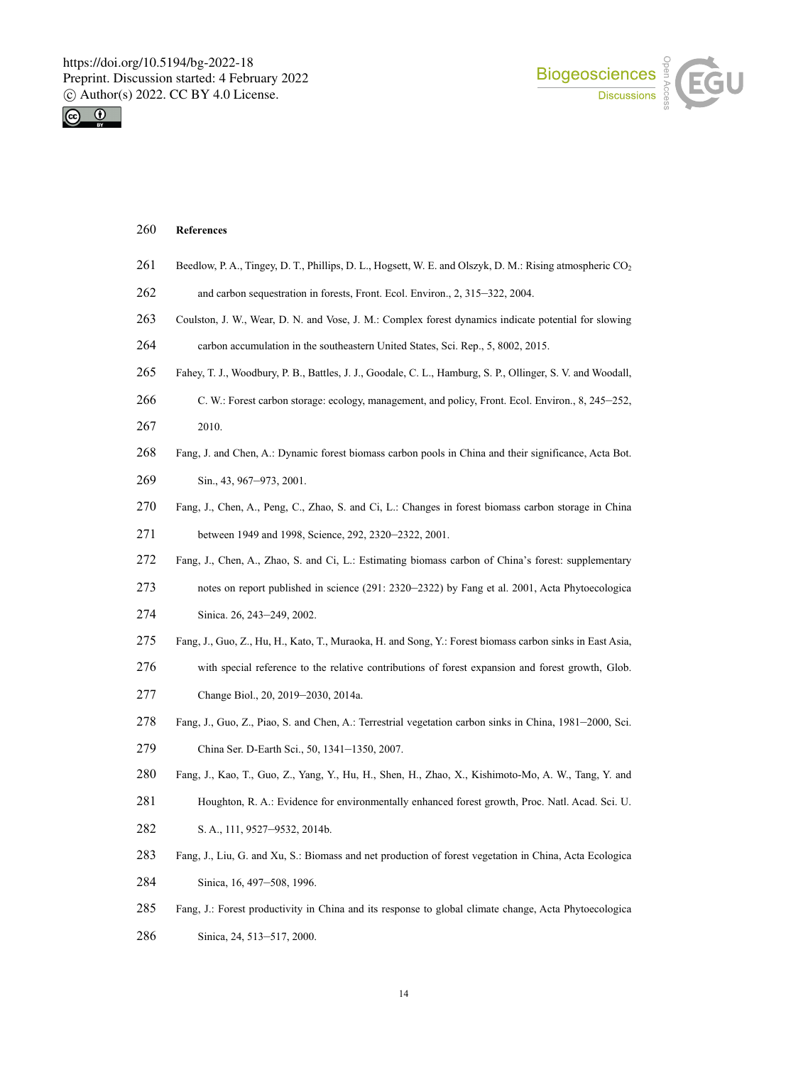



#### **References**

- 261 Beedlow, P. A., Tingey, D. T., Phillips, D. L., Hogsett, W. E. and Olszyk, D. M.: Rising atmospheric CO<sub>2</sub>
- and carbon sequestration in forests, Front. Ecol. Environ., 2, 315–322, 2004.
- Coulston, J. W., Wear, D. N. and Vose, J. M.: Complex forest dynamics indicate potential for slowing
- carbon accumulation in the southeastern United States, Sci. Rep., 5, 8002, 2015.
- Fahey, T. J., Woodbury, P. B., Battles, J. J., Goodale, C. L., Hamburg, S. P., Ollinger, S. V. and Woodall,
- C. W.: Forest carbon storage: ecology, management, and policy, Front. Ecol. Environ., 8, 245–252,
- 2010.
- Fang, J. and Chen, A.: Dynamic forest biomass carbon pools in China and their significance, Acta Bot.
- Sin., 43, 967–973, 2001.
- Fang, J., Chen, A., Peng, C., Zhao, S. and Ci, L.: Changes in forest biomass carbon storage in China
- between 1949 and 1998, Science, 292, 2320–2322, 2001.
- Fang, J., Chen, A., Zhao, S. and Ci, L.: Estimating biomass carbon of China's forest: supplementary
- notes on report published in science (291: 2320–2322) by Fang et al. 2001, Acta Phytoecologica Sinica. 26, 243–249, 2002.
- 
- Fang, J., Guo, Z., Hu, H., Kato, T., Muraoka, H. and Song, Y.: Forest biomass carbon sinks in East Asia,
- with special reference to the relative contributions of forest expansion and forest growth, Glob.
- Change Biol., 20, 2019–2030, 2014a.
- Fang, J., Guo, Z., Piao, S. and Chen, A.: Terrestrial vegetation carbon sinks in China, 1981–2000, Sci.
- China Ser. D-Earth Sci., 50, 1341–1350, 2007.
- Fang, J., Kao, T., Guo, Z., Yang, Y., Hu, H., Shen, H., Zhao, X., Kishimoto-Mo, A. W., Tang, Y. and
- Houghton, R. A.: Evidence for environmentally enhanced forest growth, Proc. Natl. Acad. Sci. U.
- S. A., 111, 9527–9532, 2014b.
- Fang, J., Liu, G. and Xu, S.: Biomass and net production of forest vegetation in China, Acta Ecologica
- Sinica, 16, 497–508, 1996.
- Fang, J.: Forest productivity in China and its response to global climate change, Acta Phytoecologica
- Sinica, 24, 513–517, 2000.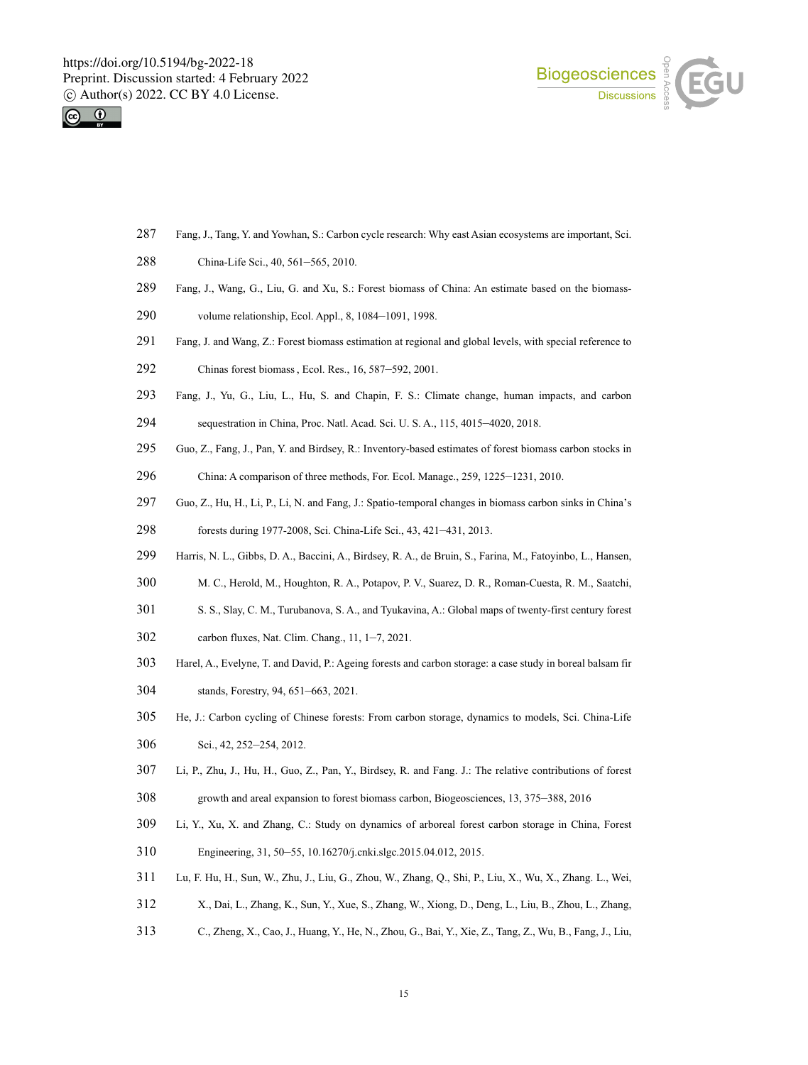



- Fang, J., Tang, Y. and Yowhan, S.: Carbon cycle research: Why east Asian ecosystems are important, Sci.
- China-Life Sci., 40, 561–565, 2010.
- Fang, J., Wang, G., Liu, G. and Xu, S.: Forest biomass of China: An estimate based on the biomass-
- volume relationship, Ecol. Appl., 8, 1084–1091, 1998.
- Fang, J. and Wang, Z.: Forest biomass estimation at regional and global levels, with special reference to
- Chinas forest biomass, Ecol. Res., 16, 587–592, 2001.
- Fang, J., Yu, G., Liu, L., Hu, S. and Chapin, F. S.: Climate change, human impacts, and carbon
- sequestration in China, Proc. Natl. Acad. Sci. U. S. A., 115, 4015–4020, 2018.
- Guo, Z., Fang, J., Pan, Y. and Birdsey, R.: Inventory-based estimates of forest biomass carbon stocks in
- China: A comparison of three methods, For. Ecol. Manage., 259, 1225–1231, 2010.
- Guo, Z., Hu, H., Li, P., Li, N. and Fang, J.: Spatio-temporal changes in biomass carbon sinks in China's
- forests during 1977-2008, Sci. China-Life Sci., 43, 421–431, 2013.
- Harris, N. L., Gibbs, D. A., Baccini, A., Birdsey, R. A., de Bruin, S., Farina, M., Fatoyinbo, L., Hansen,
- M. C., Herold, M., Houghton, R. A., Potapov, P. V., Suarez, D. R., Roman-Cuesta, R. M., Saatchi,
- S. S., Slay, C. M., Turubanova, S. A., and Tyukavina, A.: Global maps of twenty-first century forest
- carbon fluxes, Nat. Clim. Chang., 11, 1–7, 2021.
- Harel, A., Evelyne, T. and David, P.: Ageing forests and carbon storage: a case study in boreal balsam fir
- stands, Forestry, 94, 651–663, 2021.
- He, J.: Carbon cycling of Chinese forests: From carbon storage, dynamics to models, Sci. China-Life
- Sci., 42, 252–254, 2012.
- Li, P., Zhu, J., Hu, H., Guo, Z., Pan, Y., Birdsey, R. and Fang. J.: The relative contributions of forest
- growth and areal expansion to forest biomass carbon, Biogeosciences, 13, 375–388, 2016
- Li, Y., Xu, X. and Zhang, C.: Study on dynamics of arboreal forest carbon storage in China, Forest
- Engineering, 31, 50–55, 10.16270/j.cnki.slgc.2015.04.012, 2015.
- Lu, F. Hu, H., Sun, W., Zhu, J., Liu, G., Zhou, W., Zhang, Q., Shi, P., Liu, X., Wu, X., Zhang. L., Wei,
- X., Dai, L., Zhang, K., Sun, Y., Xue, S., Zhang, W., Xiong, D., Deng, L., Liu, B., Zhou, L., Zhang,
- C., Zheng, X., Cao, J., Huang, Y., He, N., Zhou, G., Bai, Y., Xie, Z., Tang, Z., Wu, B., Fang, J., Liu,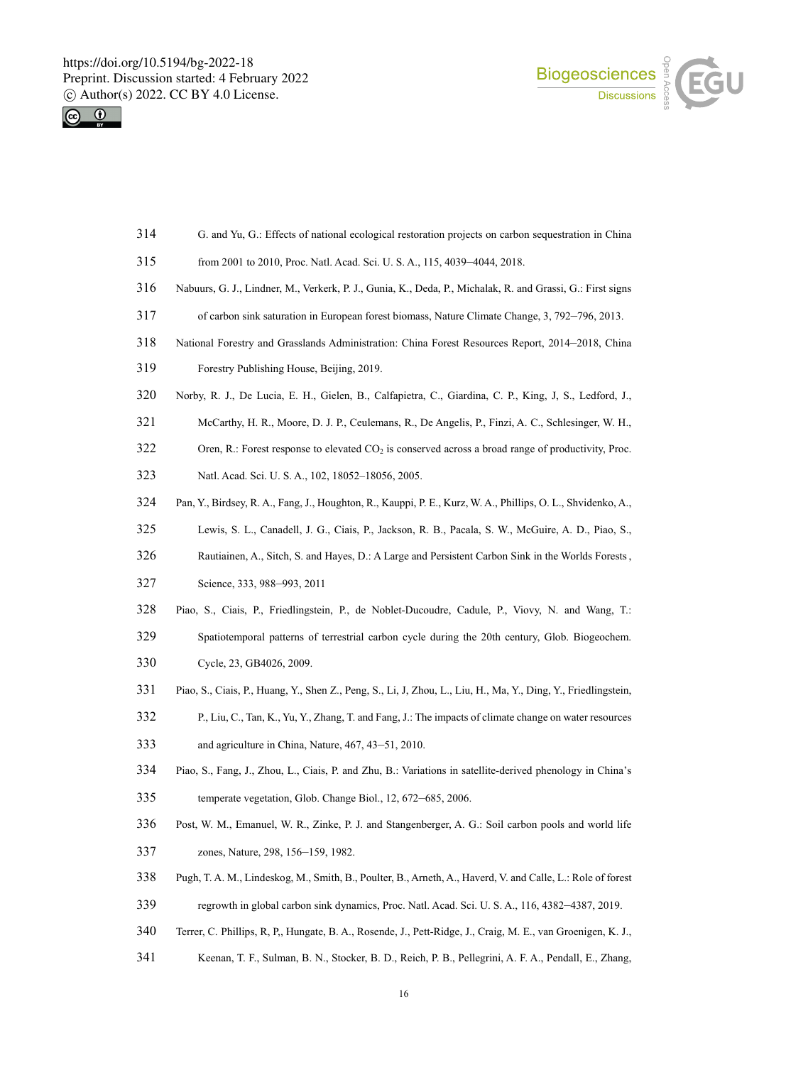



- G. and Yu, G.: Effects of national ecological restoration projects on carbon sequestration in China
- from 2001 to 2010, Proc. Natl. Acad. Sci. U. S. A., 115, 4039–4044, 2018.
- Nabuurs, G. J., Lindner, M., Verkerk, P. J., Gunia, K., Deda, P., Michalak, R. and Grassi, G.: First signs
- of carbon sink saturation in European forest biomass, Nature Climate Change, 3, 792–796, 2013.
- National Forestry and Grasslands Administration: China Forest Resources Report, 2014–2018, China
- Forestry Publishing House, Beijing, 2019.
- Norby, R. J., De Lucia, E. H., Gielen, B., Calfapietra, C., Giardina, C. P., King, J, S., Ledford, J.,
- McCarthy, H. R., Moore, D. J. P., Ceulemans, R., De Angelis, P., Finzi, A. C., Schlesinger, W. H.,
- 322 Oren, R.: Forest response to elevated  $CO<sub>2</sub>$  is conserved across a broad range of productivity, Proc.
- Natl. Acad. Sci. U. S. A., 102, 18052–18056, 2005.
- Pan, Y., Birdsey, R. A., Fang, J., Houghton, R., Kauppi, P. E., Kurz, W. A., Phillips, O. L., Shvidenko, A.,
- Lewis, S. L., Canadell, J. G., Ciais, P., Jackson, R. B., Pacala, S. W., McGuire, A. D., Piao, S.,
- Rautiainen, A., Sitch, S. and Hayes, D.: A Large and Persistent Carbon Sink in the Worlds Forests,
- Science, 333, 988–993, 2011
- Piao, S., Ciais, P., Friedlingstein, P., de Noblet-Ducoudre, Cadule, P., Viovy, N. and Wang, T.:
- Spatiotemporal patterns of terrestrial carbon cycle during the 20th century, Glob. Biogeochem.
- Cycle, 23, GB4026, 2009.
- Piao, S., Ciais, P., Huang, Y., Shen Z., Peng, S., Li, J, Zhou, L., Liu, H., Ma, Y., Ding, Y., Friedlingstein,
- P., Liu, C., Tan, K., Yu, Y., Zhang, T. and Fang, J.: The impacts of climate change on water resources
- and agriculture in China, Nature, 467, 43–51, 2010.
- Piao, S., Fang, J., Zhou, L., Ciais, P. and Zhu, B.: Variations in satellite-derived phenology in China's
- temperate vegetation, Glob. Change Biol., 12, 672–685, 2006.
- Post, W. M., Emanuel, W. R., Zinke, P. J. and Stangenberger, A. G.: Soil carbon pools and world life
- zones, Nature, 298, 156–159, 1982.
- Pugh, T. A. M., Lindeskog, M., Smith, B., Poulter, B., Arneth, A., Haverd, V. and Calle, L.: Role of forest
- regrowth in global carbon sink dynamics, Proc. Natl. Acad. Sci. U. S. A., 116, 4382–4387, 2019.
- Terrer, C. Phillips, R, P,, Hungate, B. A., Rosende, J., Pett-Ridge, J., Craig, M. E., van Groenigen, K. J.,
- Keenan, T. F., Sulman, B. N., Stocker, B. D., Reich, P. B., Pellegrini, A. F. A., Pendall, E., Zhang,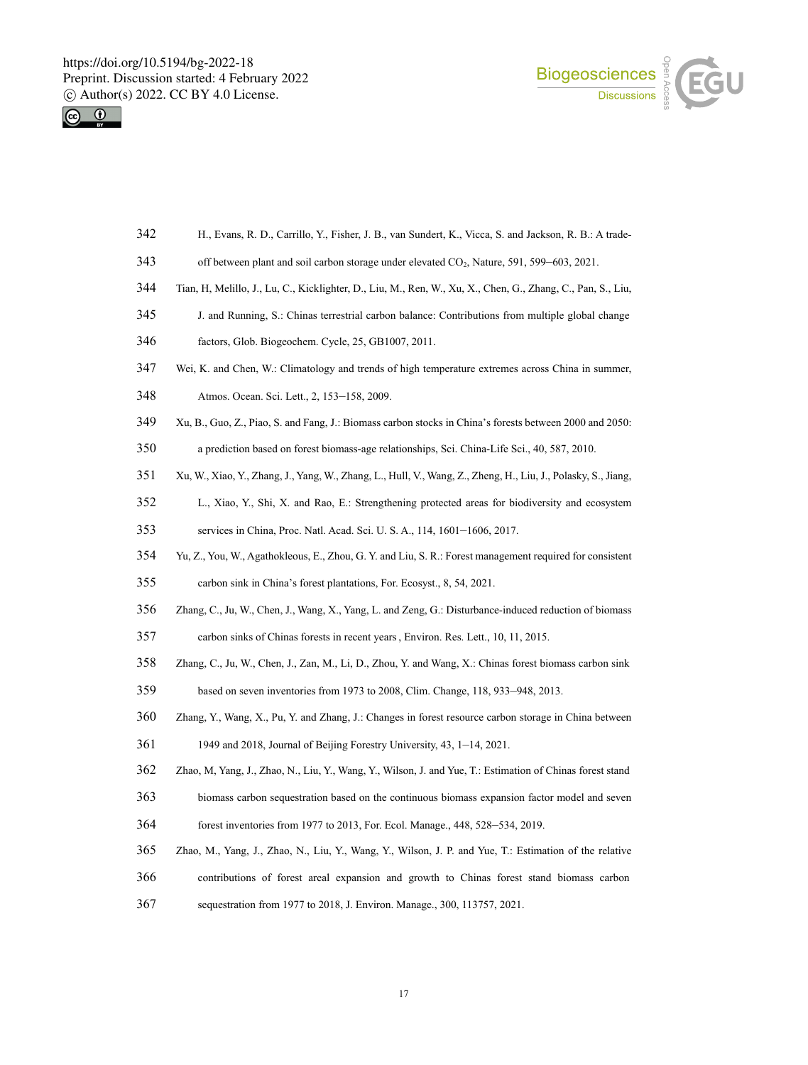



- H., Evans, R. D., Carrillo, Y., Fisher, J. B., van Sundert, K., Vicca, S. and Jackson, R. B.: A trade-
- off between plant and soil carbon storage under elevated CO2, Nature, 591, 599–603, 2021.
- Tian, H, Melillo, J., Lu, C., Kicklighter, D., Liu, M., Ren, W., Xu, X., Chen, G., Zhang, C., Pan, S., Liu,
- J. and Running, S.: Chinas terrestrial carbon balance: Contributions from multiple global change
- factors, Glob. Biogeochem. Cycle, 25, GB1007, 2011.
- Wei, K. and Chen, W.: Climatology and trends of high temperature extremes across China in summer,
- Atmos. Ocean. Sci. Lett., 2, 153–158, 2009.
- Xu, B., Guo, Z., Piao, S. and Fang, J.: Biomass carbon stocks in China's forests between 2000 and 2050:

a prediction based on forest biomass-age relationships, Sci. China-Life Sci., 40, 587, 2010.

- Xu, W., Xiao, Y., Zhang, J., Yang, W., Zhang, L., Hull, V., Wang, Z., Zheng, H., Liu, J., Polasky, S., Jiang,
- L., Xiao, Y., Shi, X. and Rao, E.: Strengthening protected areas for biodiversity and ecosystem
- services in China, Proc. Natl. Acad. Sci. U. S. A., 114, 1601–1606, 2017.
- Yu, Z., You, W., Agathokleous, E., Zhou, G. Y. and Liu, S. R.: Forest management required for consistent
- carbon sink in China's forest plantations, For. Ecosyst., 8, 54, 2021.
- Zhang, C., Ju, W., Chen, J., Wang, X., Yang, L. and Zeng, G.: Disturbance-induced reduction of biomass
- carbon sinks of Chinas forests in recent years, Environ. Res. Lett., 10, 11, 2015.
- Zhang, C., Ju, W., Chen, J., Zan, M., Li, D., Zhou, Y. and Wang, X.: Chinas forest biomass carbon sink
- based on seven inventories from 1973 to 2008, Clim. Change, 118, 933–948, 2013.
- Zhang, Y., Wang, X., Pu, Y. and Zhang, J.: Changes in forest resource carbon storage in China between
- 1949 and 2018, Journal of Beijing Forestry University, 43, 1–14, 2021.
- Zhao, M, Yang, J., Zhao, N., Liu, Y., Wang, Y., Wilson, J. and Yue, T.: Estimation of Chinas forest stand
- biomass carbon sequestration based on the continuous biomass expansion factor model and seven
- forest inventories from 1977 to 2013, For. Ecol. Manage., 448, 528–534, 2019.
- Zhao, M., Yang, J., Zhao, N., Liu, Y., Wang, Y., Wilson, J. P. and Yue, T.: Estimation of the relative
- contributions of forest areal expansion and growth to Chinas forest stand biomass carbon
- sequestration from 1977 to 2018, J. Environ. Manage., 300, 113757, 2021.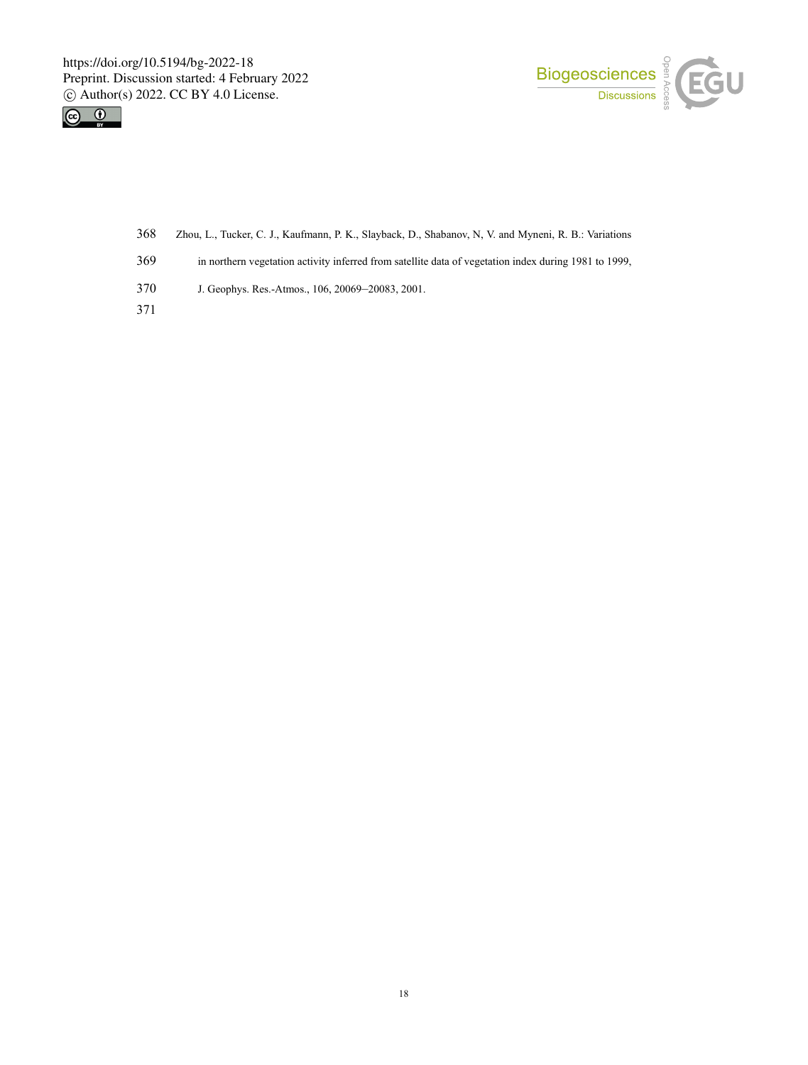



- Zhou, L., Tucker, C. J., Kaufmann, P. K., Slayback, D., Shabanov, N, V. and Myneni, R. B.: Variations
- in northern vegetation activity inferred from satellite data of vegetation index during 1981 to 1999,
- J. Geophys. Res.-Atmos., 106, 20069–20083, 2001.
-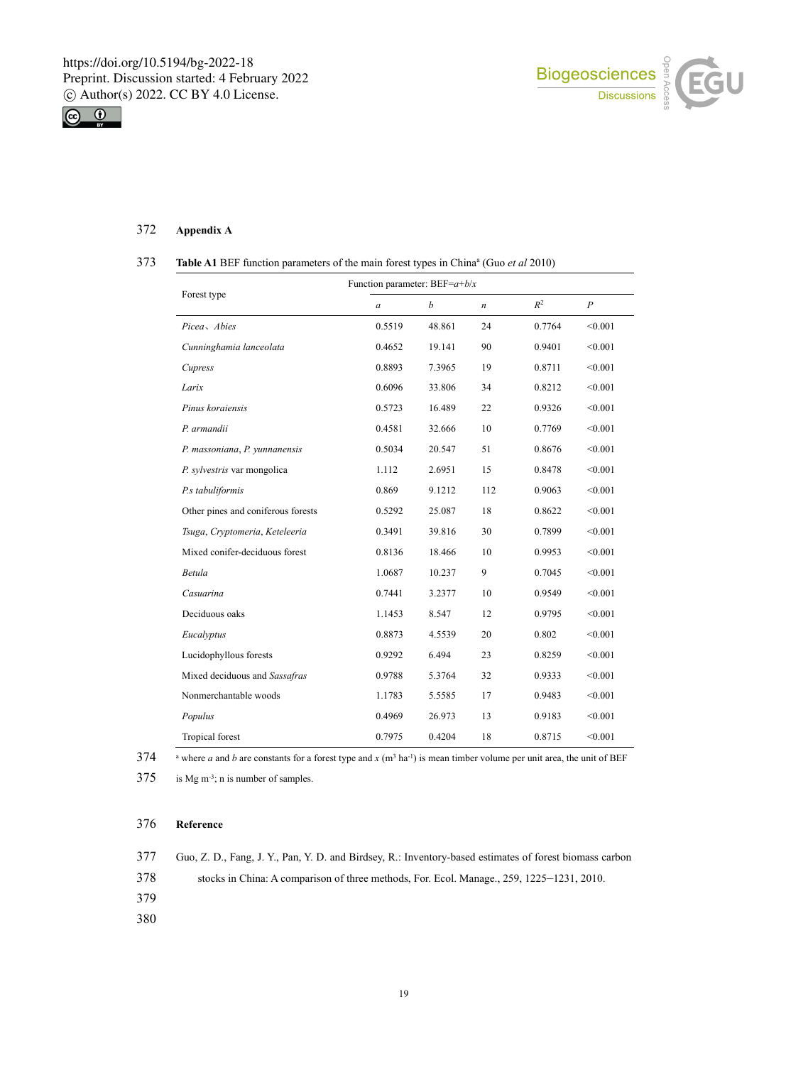



## 372 **Appendix A**

#### **Table A1** BEF function parameters of the main forest types in China<sup>a</sup> (Guo *et al* 2010)

|                                    | Function parameter: BEF= $a+b/x$ |        |                  |        |                  |  |
|------------------------------------|----------------------------------|--------|------------------|--------|------------------|--|
| Forest type                        | $\mathfrak a$                    | h      | $\boldsymbol{n}$ | $R^2$  | $\boldsymbol{P}$ |  |
| Picea, Abies                       | 0.5519                           | 48.861 | 24               | 0.7764 | < 0.001          |  |
| Cunninghamia lanceolata            | 0.4652                           | 19.141 | 90               | 0.9401 | < 0.001          |  |
| Cupress                            | 0.8893                           | 7.3965 | 19               | 0.8711 | < 0.001          |  |
| Larix                              | 0.6096                           | 33.806 | 34               | 0.8212 | < 0.001          |  |
| Pinus koraiensis                   | 0.5723                           | 16.489 | 22               | 0.9326 | < 0.001          |  |
| P. armandii                        | 0.4581                           | 32.666 | 10               | 0.7769 | < 0.001          |  |
| P. massoniana, P. yunnanensis      | 0.5034                           | 20.547 | 51               | 0.8676 | < 0.001          |  |
| P. sylvestris var mongolica        | 1.112                            | 2.6951 | 15               | 0.8478 | < 0.001          |  |
| P.s tabuliformis                   | 0.869                            | 9.1212 | 112              | 0.9063 | < 0.001          |  |
| Other pines and coniferous forests | 0.5292                           | 25.087 | 18               | 0.8622 | < 0.001          |  |
| Tsuga, Cryptomeria, Keteleeria     | 0.3491                           | 39.816 | 30               | 0.7899 | < 0.001          |  |
| Mixed conifer-deciduous forest     | 0.8136                           | 18.466 | 10               | 0.9953 | < 0.001          |  |
| Betula                             | 1.0687                           | 10.237 | 9                | 0.7045 | < 0.001          |  |
| Casuarina                          | 0.7441                           | 3.2377 | 10               | 0.9549 | < 0.001          |  |
| Deciduous oaks                     | 1.1453                           | 8.547  | 12               | 0.9795 | < 0.001          |  |
| Eucalyptus                         | 0.8873                           | 4.5539 | 20               | 0.802  | < 0.001          |  |
| Lucidophyllous forests             | 0.9292                           | 6.494  | 23               | 0.8259 | < 0.001          |  |
| Mixed deciduous and Sassafras      | 0.9788                           | 5.3764 | 32               | 0.9333 | < 0.001          |  |
| Nonmerchantable woods              | 1.1783                           | 5.5585 | 17               | 0.9483 | < 0.001          |  |
| Populus                            | 0.4969                           | 26.973 | 13               | 0.9183 | < 0.001          |  |
| Tropical forest                    | 0.7975                           | 0.4204 | 18               | 0.8715 | < 0.001          |  |

 $374$  <sup>a</sup> where *a* and *b* are constants for a forest type and *x* (m<sup>3</sup> ha<sup>-1</sup>) is mean timber volume per unit area, the unit of BEF

 $375$  is Mg m<sup>-3</sup>; n is number of samples.

#### 376 **Reference**

| 377 | Guo, Z. D., Fang, J. Y., Pan, Y. D. and Birdsey, R.: Inventory-based estimates of forest biomass carbon |
|-----|---------------------------------------------------------------------------------------------------------|
| 378 | stocks in China: A comparison of three methods, For. Ecol. Manage., 259, 1225–1231, 2010.               |
| 379 |                                                                                                         |
| 380 |                                                                                                         |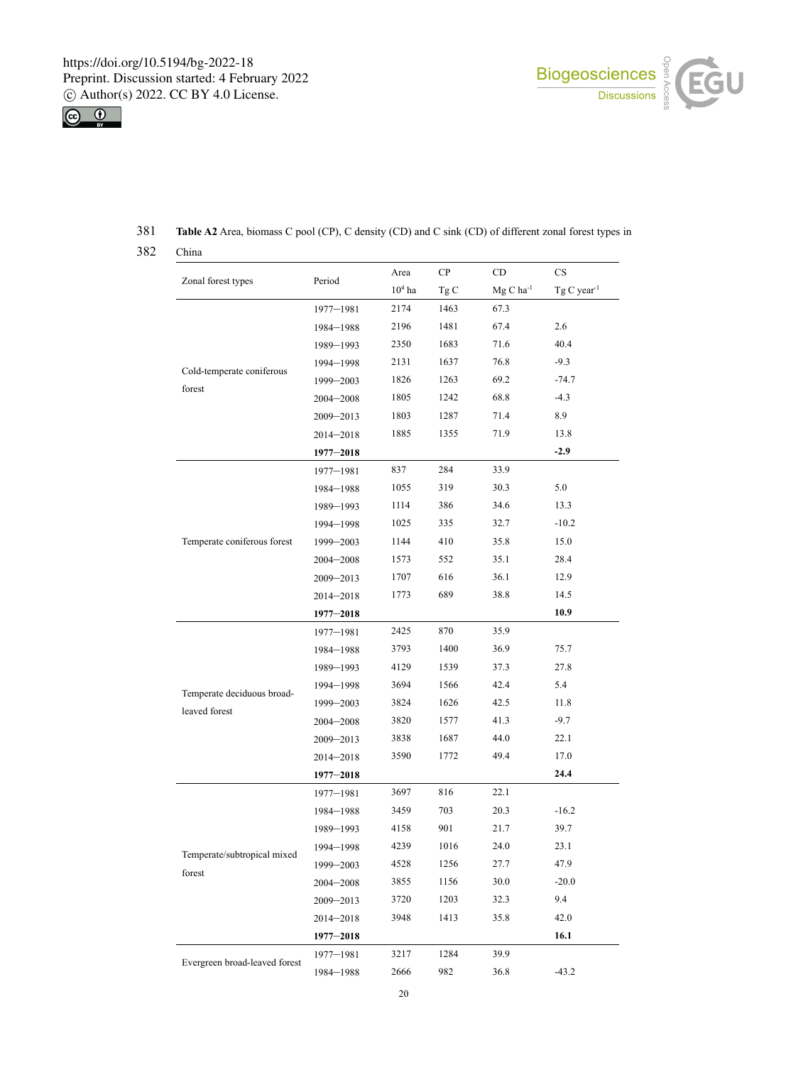



## 381 **Table A2** Area, biomass C pool (CP), C density (CD) and C sink (CD) of different zonal forest types in

### 382 China

| Zonal forest types                          | Period        | Area     | CP   | CD                     | CS                        |
|---------------------------------------------|---------------|----------|------|------------------------|---------------------------|
|                                             |               | $104$ ha | Tg C | $MgC$ ha <sup>-1</sup> | $Tg C year$ <sup>-1</sup> |
| Cold-temperate coniferous<br>forest         | 1977-1981     | 2174     | 1463 | 67.3                   |                           |
|                                             | 1984-1988     | 2196     | 1481 | 67.4                   | 2.6                       |
|                                             | 1989-1993     | 2350     | 1683 | 71.6                   | 40.4                      |
|                                             | 1994-1998     | 2131     | 1637 | 76.8                   | $-9.3$                    |
|                                             | 1999-2003     | 1826     | 1263 | 69.2                   | $-74.7$                   |
|                                             | 2004-2008     | 1805     | 1242 | 68.8                   | $-4.3$                    |
|                                             | 2009-2013     | 1803     | 1287 | 71.4                   | 8.9                       |
|                                             | 2014-2018     | 1885     | 1355 | 71.9                   | 13.8                      |
|                                             | $1977 - 2018$ |          |      |                        | $-2.9$                    |
| Temperate coniferous forest                 | 1977-1981     | 837      | 284  | 33.9                   |                           |
|                                             | 1984-1988     | 1055     | 319  | 30.3                   | 5.0                       |
|                                             | 1989-1993     | 1114     | 386  | 34.6                   | 13.3                      |
|                                             | 1994-1998     | 1025     | 335  | 32.7                   | $-10.2$                   |
|                                             | 1999-2003     | 1144     | 410  | 35.8                   | 15.0                      |
|                                             | 2004-2008     | 1573     | 552  | 35.1                   | 28.4                      |
|                                             | 2009-2013     | 1707     | 616  | 36.1                   | 12.9                      |
|                                             | 2014-2018     | 1773     | 689  | 38.8                   | 14.5                      |
|                                             | $1977 - 2018$ |          |      |                        | 10.9                      |
| Temperate deciduous broad-<br>leaved forest | 1977-1981     | 2425     | 870  | 35.9                   |                           |
|                                             | 1984-1988     | 3793     | 1400 | 36.9                   | 75.7                      |
|                                             | 1989-1993     | 4129     | 1539 | 37.3                   | 27.8                      |
|                                             | 1994-1998     | 3694     | 1566 | 42.4                   | 5.4                       |
|                                             | 1999-2003     | 3824     | 1626 | 42.5                   | 11.8                      |
|                                             | 2004-2008     | 3820     | 1577 | 41.3                   | $-9.7$                    |
|                                             | 2009-2013     | 3838     | 1687 | 44.0                   | 22.1                      |
|                                             | 2014-2018     | 3590     | 1772 | 49.4                   | 17.0                      |
|                                             | $1977 - 2018$ |          |      |                        | 24.4                      |
| Temperate/subtropical mixed<br>forest       | 1977-1981     | 3697     | 816  | 22.1                   |                           |
|                                             | 1984-1988     | 3459     | 703  | 20.3                   | $-16.2$                   |
|                                             | 1989-1993     | 4158     | 901  | 21.7                   | 39.7                      |
|                                             | 1994-1998     | 4239     | 1016 | 24.0                   | 23.1                      |
|                                             | 1999-2003     | 4528     | 1256 | 27.7                   | 47.9                      |
|                                             | 2004-2008     | 3855     | 1156 | 30.0                   | $-20.0$                   |
|                                             | 2009-2013     | 3720     | 1203 | 32.3                   | 9.4                       |
|                                             | 2014-2018     | 3948     | 1413 | 35.8                   | 42.0                      |
|                                             | $1977 - 2018$ |          |      |                        | 16.1                      |
| Evergreen broad-leaved forest               | 1977-1981     | 3217     | 1284 | 39.9                   |                           |
|                                             | 1984-1988     | 2666     | 982  | 36.8                   | $-43.2$                   |